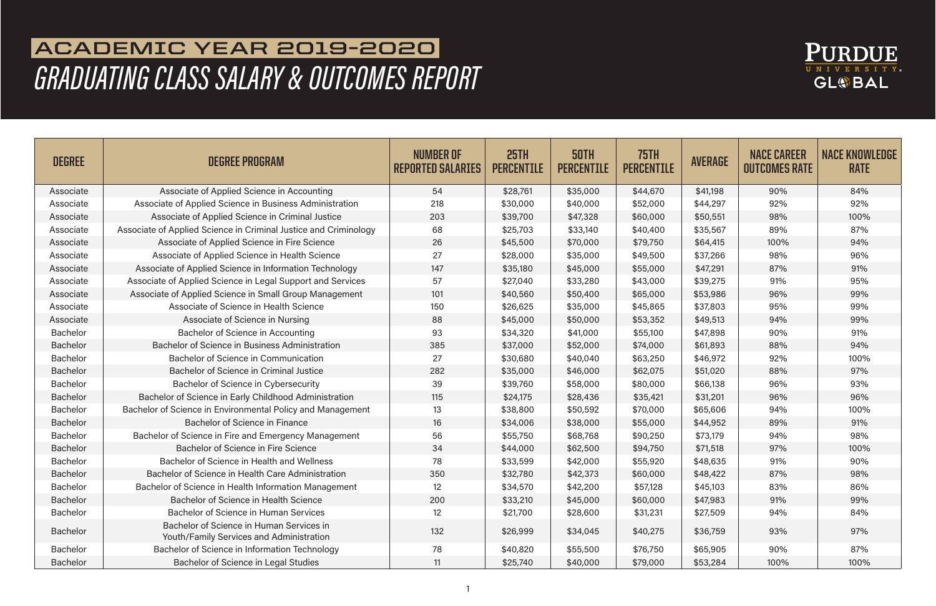

## **ACADEMIC YEAR 2019-2020**  *GRADUATING CLASS SALARY & OUTCOMES REPORT*

| <b>DEGREE</b>   | <b>DEGREE PROGRAM</b>                                                                | NUMBER OF<br><b>REPORTED SALARIES</b> | 25TH<br><b>PERCENTILE</b> | 50TH<br><b>PERCENTILE</b> | <b>75TH</b><br><b>PERCENTILE</b> | <b>AVERAGE</b> | <b>NACE CAREER</b><br><b>OUTCOMES RATE</b> | <b>NACE KNOWLEDGE</b><br><b>RATE</b> |
|-----------------|--------------------------------------------------------------------------------------|---------------------------------------|---------------------------|---------------------------|----------------------------------|----------------|--------------------------------------------|--------------------------------------|
| Associate       | Associate of Applied Science in Accounting                                           | 54                                    | \$28,761                  | \$35,000                  | \$44,670                         | \$41,198       | 90%                                        | 84%                                  |
| Associate       | Associate of Applied Science in Business Administration                              | 218                                   | \$30,000                  | \$40,000                  | \$52,000                         | \$44,297       | 92%                                        | 92%                                  |
| Associate       | Associate of Applied Science in Criminal Justice                                     | 203                                   | \$39,700                  | \$47,328                  | \$60,000                         | \$50,551       | 98%                                        | 100%                                 |
| Associate       | Associate of Applied Science in Criminal Justice and Criminology                     | 68                                    | \$25,703                  | \$33,140                  | \$40,400                         | \$35,567       | 89%                                        | 87%                                  |
| Associate       | Associate of Applied Science in Fire Science                                         | 26                                    | \$45,500                  | \$70,000                  | \$79,750                         | \$64,415       | 100%                                       | 94%                                  |
| Associate       | Associate of Applied Science in Health Science                                       | 27                                    | \$28,000                  | \$35,000                  | \$49,500                         | \$37,266       | 98%                                        | 96%                                  |
| Associate       | Associate of Applied Science in Information Technology                               | 147                                   | \$35,180                  | \$45,000                  | \$55,000                         | \$47,291       | 87%                                        | 91%                                  |
| Associate       | Associate of Applied Science in Legal Support and Services                           | 57                                    | \$27,040                  | \$33,280                  | \$43,000                         | \$39,275       | 91%                                        | 95%                                  |
| Associate       | Associate of Applied Science in Small Group Management                               | 101                                   | \$40,560                  | \$50,400                  | \$65,000                         | \$53,986       | 96%                                        | 99%                                  |
| Associate       | Associate of Science in Health Science                                               | 150                                   | \$26,625                  | \$35,000                  | \$45,865                         | \$37,803       | 95%                                        | 99%                                  |
| Associate       | Associate of Science in Nursing                                                      | 88                                    | \$45,000                  | \$50,000                  | \$53,352                         | \$49,513       | 94%                                        | 99%                                  |
| <b>Bachelor</b> | Bachelor of Science in Accounting                                                    | 93                                    | \$34,320                  | \$41,000                  | \$55,100                         | \$47,898       | 90%                                        | 91%                                  |
| <b>Bachelor</b> | Bachelor of Science in Business Administration                                       | 385                                   | \$37,000                  | \$52,000                  | \$74,000                         | \$61,893       | 88%                                        | 94%                                  |
| <b>Bachelor</b> | Bachelor of Science in Communication                                                 | 27                                    | \$30,680                  | \$40,040                  | \$63,250                         | \$46,972       | 92%                                        | 100%                                 |
| <b>Bachelor</b> | Bachelor of Science in Criminal Justice                                              | 282                                   | \$35,000                  | \$46,000                  | \$62,075                         | \$51,020       | 88%                                        | 97%                                  |
| <b>Bachelor</b> | Bachelor of Science in Cybersecurity                                                 | 39                                    | \$39,760                  | \$58,000                  | \$80,000                         | \$66,138       | 96%                                        | 93%                                  |
| <b>Bachelor</b> | Bachelor of Science in Early Childhood Administration                                | 115                                   | \$24,175                  | \$28,436                  | \$35,421                         | \$31,201       | 96%                                        | 96%                                  |
| <b>Bachelor</b> | Bachelor of Science in Environmental Policy and Management                           | 13                                    | \$38,800                  | \$50,592                  | \$70,000                         | \$65,606       | 94%                                        | 100%                                 |
| <b>Bachelor</b> | <b>Bachelor of Science in Finance</b>                                                | 16                                    | \$34,006                  | \$38,000                  | \$55,000                         | \$44,952       | 89%                                        | 91%                                  |
| <b>Bachelor</b> | Bachelor of Science in Fire and Emergency Management                                 | 56                                    | \$55,750                  | \$68,768                  | \$90,250                         | \$73,179       | 94%                                        | 98%                                  |
| <b>Bachelor</b> | Bachelor of Science in Fire Science                                                  | 34                                    | \$44,000                  | \$62,500                  | \$94,750                         | \$71,518       | 97%                                        | 100%                                 |
| <b>Bachelor</b> | Bachelor of Science in Health and Wellness                                           | 78                                    | \$33,599                  | \$42,000                  | \$55,920                         | \$48,635       | 91%                                        | 90%                                  |
| <b>Bachelor</b> | Bachelor of Science in Health Care Administration                                    | 350                                   | \$32,780                  | \$42,373                  | \$60,000                         | \$48,422       | 87%                                        | 98%                                  |
| <b>Bachelor</b> | Bachelor of Science in Health Information Management                                 | 12                                    | \$34,570                  | \$42,200                  | \$57,128                         | \$45,103       | 83%                                        | 86%                                  |
| <b>Bachelor</b> | <b>Bachelor of Science in Health Science</b>                                         | 200                                   | \$33,210                  | \$45,000                  | \$60,000                         | \$47,983       | 91%                                        | 99%                                  |
| Bachelor        | Bachelor of Science in Human Services                                                | 12                                    | \$21,700                  | \$28,600                  | \$31,231                         | \$27,509       | 94%                                        | 84%                                  |
| <b>Bachelor</b> | Bachelor of Science in Human Services in<br>Youth/Family Services and Administration | 132                                   | \$26,999                  | \$34,045                  | \$40,275                         | \$36,759       | 93%                                        | 97%                                  |
| <b>Bachelor</b> | Bachelor of Science in Information Technology                                        | 78                                    | \$40,820                  | \$55,500                  | \$76,750                         | \$65,905       | 90%                                        | 87%                                  |
| <b>Bachelor</b> | Bachelor of Science in Legal Studies                                                 | 11                                    | \$25,740                  | \$40,000                  | \$79,000                         | \$53,284       | 100%                                       | 100%                                 |